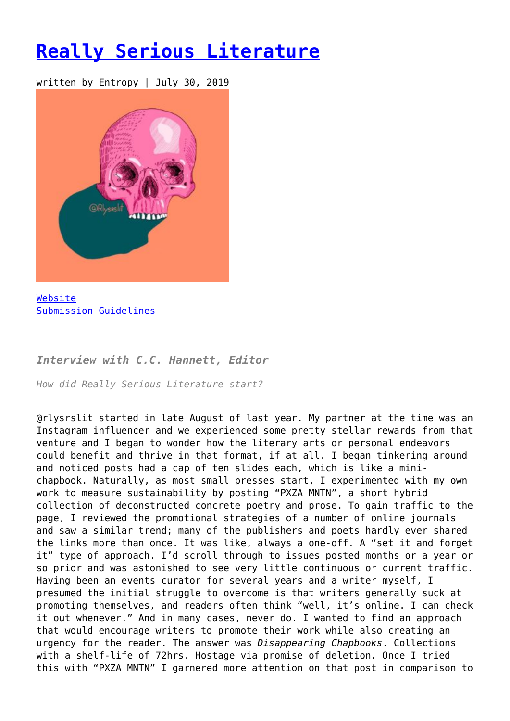## **[Really Serious Literature](https://entropymag.org/really-serious-literature/)**

written by Entropy | July 30, 2019



[Website](https://www.instagram.com/rlysrslit/) [Submission Guidelines](https://twitter.com/rlysrslit)

*Interview with C.C. Hannett, Editor*

*How did Really Serious Literature start?*

@rlysrslit started in late August of last year. My partner at the time was an Instagram influencer and we experienced some pretty stellar rewards from that venture and I began to wonder how the literary arts or personal endeavors could benefit and thrive in that format, if at all. I began tinkering around and noticed posts had a cap of ten slides each, which is like a minichapbook. Naturally, as most small presses start, I experimented with my own work to measure sustainability by posting "PXZA MNTN", a short hybrid collection of deconstructed concrete poetry and prose. To gain traffic to the page, I reviewed the promotional strategies of a number of online journals and saw a similar trend; many of the publishers and poets hardly ever shared the links more than once. It was like, always a one-off. A "set it and forget it" type of approach. I'd scroll through to issues posted months or a year or so prior and was astonished to see very little continuous or current traffic. Having been an events curator for several years and a writer myself, I presumed the initial struggle to overcome is that writers generally suck at promoting themselves, and readers often think "well, it's online. I can check it out whenever." And in many cases, never do. I wanted to find an approach that would encourage writers to promote their work while also creating an urgency for the reader. The answer was *Disappearing Chapbooks*. Collections with a shelf-life of 72hrs. Hostage via promise of deletion. Once I tried this with "PXZA MNTN" I garnered more attention on that post in comparison to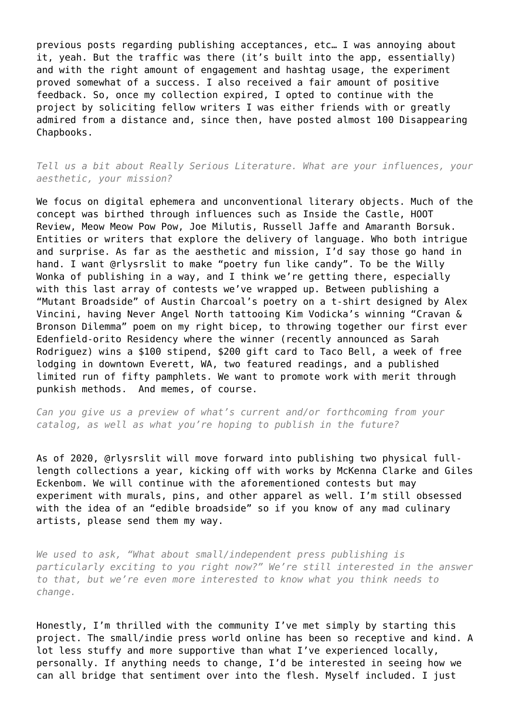previous posts regarding publishing acceptances, etc… I was annoying about it, yeah. But the traffic was there (it's built into the app, essentially) and with the right amount of engagement and hashtag usage, the experiment proved somewhat of a success. I also received a fair amount of positive feedback. So, once my collection expired, I opted to continue with the project by soliciting fellow writers I was either friends with or greatly admired from a distance and, since then, have posted almost 100 Disappearing Chapbooks.

*Tell us a bit about Really Serious Literature. What are your influences, your aesthetic, your mission?*

We focus on digital ephemera and unconventional literary objects. Much of the concept was birthed through influences such as Inside the Castle, HOOT Review, Meow Meow Pow Pow, Joe Milutis, Russell Jaffe and Amaranth Borsuk. Entities or writers that explore the delivery of language. Who both intrigue and surprise. As far as the aesthetic and mission, I'd say those go hand in hand. I want @rlysrslit to make "poetry fun like candy". To be the Willy Wonka of publishing in a way, and I think we're getting there, especially with this last array of contests we've wrapped up. Between publishing a "Mutant Broadside" of Austin Charcoal's poetry on a t-shirt designed by Alex Vincini, having Never Angel North tattooing Kim Vodicka's winning "Cravan & Bronson Dilemma" poem on my right bicep, to throwing together our first ever Edenfield-orito Residency where the winner (recently announced as Sarah Rodriguez) wins a \$100 stipend, \$200 gift card to Taco Bell, a week of free lodging in downtown Everett, WA, two featured readings, and a published limited run of fifty pamphlets. We want to promote work with merit through punkish methods. And memes, of course.

*Can you give us a preview of what's current and/or forthcoming from your catalog, as well as what you're hoping to publish in the future?*

As of 2020, @rlysrslit will move forward into publishing two physical fulllength collections a year, kicking off with works by McKenna Clarke and Giles Eckenbom. We will continue with the aforementioned contests but may experiment with murals, pins, and other apparel as well. I'm still obsessed with the idea of an "edible broadside" so if you know of any mad culinary artists, please send them my way.

*We used to ask, "What about small/independent press publishing is particularly exciting to you right now?" We're still interested in the answer to that, but we're even more interested to know what you think needs to change.*

Honestly, I'm thrilled with the community I've met simply by starting this project. The small/indie press world online has been so receptive and kind. A lot less stuffy and more supportive than what I've experienced locally, personally. If anything needs to change, I'd be interested in seeing how we can all bridge that sentiment over into the flesh. Myself included. I just